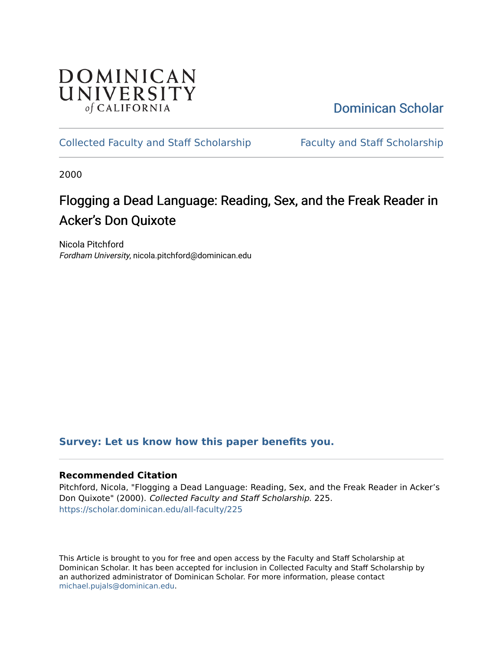

[Dominican Scholar](https://scholar.dominican.edu/) 

# [Collected Faculty and Staff Scholarship](https://scholar.dominican.edu/all-faculty) [Faculty and Staff Scholarship](https://scholar.dominican.edu/faculty-scholarship)

2000

# Flogging a Dead Language: Reading, Sex, and the Freak Reader in Acker's Don Quixote

Nicola Pitchford Fordham University, nicola.pitchford@dominican.edu

## **[Survey: Let us know how this paper benefits you.](https://dominican.libwizard.com/dominican-scholar-feedback)**

## **Recommended Citation**

Pitchford, Nicola, "Flogging a Dead Language: Reading, Sex, and the Freak Reader in Acker's Don Quixote" (2000). Collected Faculty and Staff Scholarship. 225. [https://scholar.dominican.edu/all-faculty/225](https://scholar.dominican.edu/all-faculty/225?utm_source=scholar.dominican.edu%2Fall-faculty%2F225&utm_medium=PDF&utm_campaign=PDFCoverPages) 

This Article is brought to you for free and open access by the Faculty and Staff Scholarship at Dominican Scholar. It has been accepted for inclusion in Collected Faculty and Staff Scholarship by an authorized administrator of Dominican Scholar. For more information, please contact [michael.pujals@dominican.edu.](mailto:michael.pujals@dominican.edu)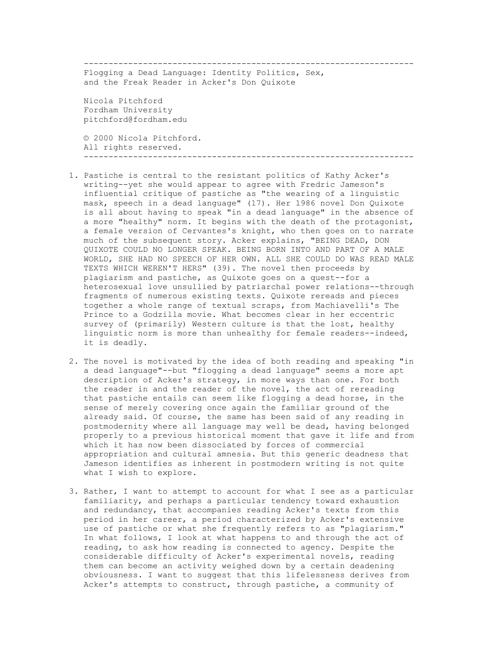-------------------------------------------------------------------

 Flogging a Dead Language: Identity Politics, Sex, and the Freak Reader in Acker's Don Quixote

 Nicola Pitchford Fordham University pitchford@fordham.edu

 © 2000 Nicola Pitchford. All rights reserved. -------------------------------------------------------------------

- 1. Pastiche is central to the resistant politics of Kathy Acker's writing--yet she would appear to agree with Fredric Jameson's influential critique of pastiche as "the wearing of a linguistic mask, speech in a dead language" (17). Her 1986 novel Don Quixote is all about having to speak "in a dead language" in the absence of a more "healthy" norm. It begins with the death of the protagonist, a female version of Cervantes's knight, who then goes on to narrate much of the subsequent story. Acker explains, "BEING DEAD, DON QUIXOTE COULD NO LONGER SPEAK. BEING BORN INTO AND PART OF A MALE WORLD, SHE HAD NO SPEECH OF HER OWN. ALL SHE COULD DO WAS READ MALE TEXTS WHICH WEREN'T HERS" (39). The novel then proceeds by plagiarism and pastiche, as Quixote goes on a quest--for a heterosexual love unsullied by patriarchal power relations--through fragments of numerous existing texts. Quixote rereads and pieces together a whole range of textual scraps, from Machiavelli's The Prince to a Godzilla movie. What becomes clear in her eccentric survey of (primarily) Western culture is that the lost, healthy linguistic norm is more than unhealthy for female readers--indeed, it is deadly.
- 2. The novel is motivated by the idea of both reading and speaking "in a dead language"--but "flogging a dead language" seems a more apt description of Acker's strategy, in more ways than one. For both the reader in and the reader of the novel, the act of rereading that pastiche entails can seem like flogging a dead horse, in the sense of merely covering once again the familiar ground of the already said. Of course, the same has been said of any reading in postmodernity where all language may well be dead, having belonged properly to a previous historical moment that gave it life and from which it has now been dissociated by forces of commercial appropriation and cultural amnesia. But this generic deadness that Jameson identifies as inherent in postmodern writing is not quite what I wish to explore.
- 3. Rather, I want to attempt to account for what I see as a particular familiarity, and perhaps a particular tendency toward exhaustion and redundancy, that accompanies reading Acker's texts from this period in her career, a period characterized by Acker's extensive use of pastiche or what she frequently refers to as "plagiarism." In what follows, I look at what happens to and through the act of reading, to ask how reading is connected to agency. Despite the considerable difficulty of Acker's experimental novels, reading them can become an activity weighed down by a certain deadening obviousness. I want to suggest that this lifelessness derives from Acker's attempts to construct, through pastiche, a community of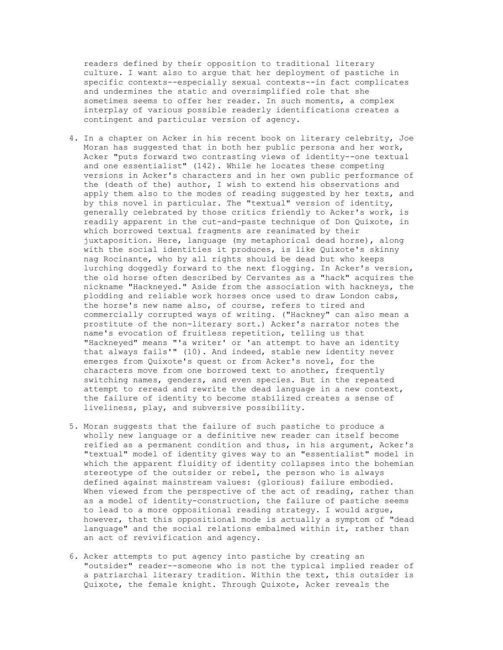readers defined by their opposition to traditional literary culture. I want also to argue that her deployment of pastiche in specific contexts--especially sexual contexts--in fact complicates and undermines the static and oversimplified role that she sometimes seems to offer her reader. In such moments, a complex interplay of various possible readerly identifications creates a contingent and particular version of agency.

- 4. In a chapter on Acker in his recent book on literary celebrity, Joe Moran has suggested that in both her public persona and her work, Acker "puts forward two contrasting views of identity--one textual and one essentialist" (142). While he locates these competing versions in Acker's characters and in her own public performance of the (death of the) author, I wish to extend his observations and apply them also to the modes of reading suggested by her texts, and by this novel in particular. The "textual" version of identity, generally celebrated by those critics friendly to Acker's work, is readily apparent in the cut-and-paste technique of Don Quixote, in which borrowed textual fragments are reanimated by their juxtaposition. Here, language (my metaphorical dead horse), along with the social identities it produces, is like Quixote's skinny nag Rocinante, who by all rights should be dead but who keeps lurching doggedly forward to the next flogging. In Acker's version, the old horse often described by Cervantes as a "hack" acquires the nickname "Hackneyed." Aside from the association with hackneys, the plodding and reliable work horses once used to draw London cabs, the horse's new name also, of course, refers to tired and commercially corrupted ways of writing. ("Hackney" can also mean a prostitute of the non-literary sort.) Acker's narrator notes the name's evocation of fruitless repetition, telling us that "Hackneyed" means "'a writer' or 'an attempt to have an identity that always fails'" (10). And indeed, stable new identity never emerges from Quixote's quest or from Acker's novel, for the characters move from one borrowed text to another, frequently switching names, genders, and even species. But in the repeated attempt to reread and rewrite the dead language in a new context, the failure of identity to become stabilized creates a sense of liveliness, play, and subversive possibility.
- 5. Moran suggests that the failure of such pastiche to produce a wholly new language or a definitive new reader can itself become reified as a permanent condition and thus, in his argument, Acker's "textual" model of identity gives way to an "essentialist" model in which the apparent fluidity of identity collapses into the bohemian stereotype of the outsider or rebel, the person who is always defined against mainstream values: (glorious) failure embodied. When viewed from the perspective of the act of reading, rather than as a model of identity-construction, the failure of pastiche seems to lead to a more oppositional reading strategy. I would argue, however, that this oppositional mode is actually a symptom of "dead language" and the social relations embalmed within it, rather than an act of revivification and agency.
- 6. Acker attempts to put agency into pastiche by creating an "outsider" reader--someone who is not the typical implied reader of a patriarchal literary tradition. Within the text, this outsider is Quixote, the female knight. Through Quixote, Acker reveals the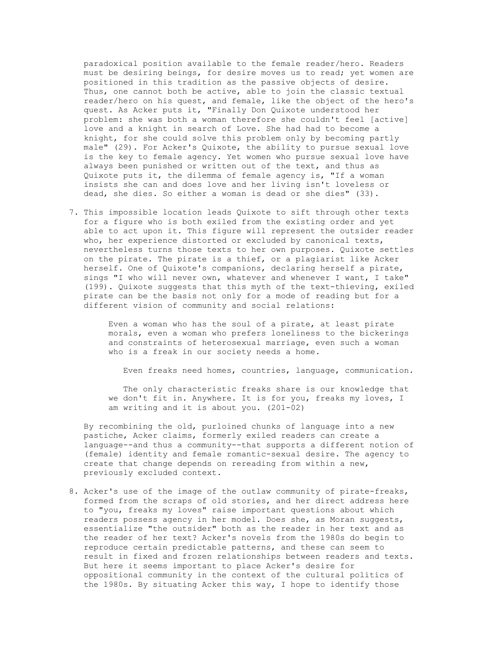paradoxical position available to the female reader/hero. Readers must be desiring beings, for desire moves us to read; yet women are positioned in this tradition as the passive objects of desire. Thus, one cannot both be active, able to join the classic textual reader/hero on his quest, and female, like the object of the hero's quest. As Acker puts it, "Finally Don Quixote understood her problem: she was both a woman therefore she couldn't feel [active] love and a knight in search of Love. She had had to become a knight, for she could solve this problem only by becoming partly male" (29). For Acker's Quixote, the ability to pursue sexual love is the key to female agency. Yet women who pursue sexual love have always been punished or written out of the text, and thus as Quixote puts it, the dilemma of female agency is, "If a woman insists she can and does love and her living isn't loveless or dead, she dies. So either a woman is dead or she dies" (33).

 7. This impossible location leads Quixote to sift through other texts for a figure who is both exiled from the existing order and yet able to act upon it. This figure will represent the outsider reader who, her experience distorted or excluded by canonical texts, nevertheless turns those texts to her own purposes. Quixote settles on the pirate. The pirate is a thief, or a plagiarist like Acker herself. One of Quixote's companions, declaring herself a pirate, sings "I who will never own, whatever and whenever I want, I take" (199). Quixote suggests that this myth of the text-thieving, exiled pirate can be the basis not only for a mode of reading but for a different vision of community and social relations:

> Even a woman who has the soul of a pirate, at least pirate morals, even a woman who prefers loneliness to the bickerings and constraints of heterosexual marriage, even such a woman who is a freak in our society needs a home.

Even freaks need homes, countries, language, communication.

 The only characteristic freaks share is our knowledge that we don't fit in. Anywhere. It is for you, freaks my loves, I am writing and it is about you. (201-02)

 By recombining the old, purloined chunks of language into a new pastiche, Acker claims, formerly exiled readers can create a language--and thus a community--that supports a different notion of (female) identity and female romantic-sexual desire. The agency to create that change depends on rereading from within a new, previously excluded context.

 8. Acker's use of the image of the outlaw community of pirate-freaks, formed from the scraps of old stories, and her direct address here to "you, freaks my loves" raise important questions about which readers possess agency in her model. Does she, as Moran suggests, essentialize "the outsider" both as the reader in her text and as the reader of her text? Acker's novels from the 1980s do begin to reproduce certain predictable patterns, and these can seem to result in fixed and frozen relationships between readers and texts. But here it seems important to place Acker's desire for oppositional community in the context of the cultural politics of the 1980s. By situating Acker this way, I hope to identify those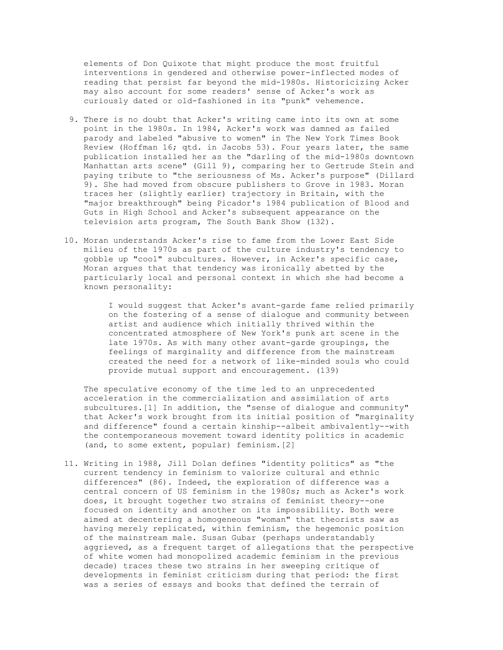elements of Don Quixote that might produce the most fruitful interventions in gendered and otherwise power-inflected modes of reading that persist far beyond the mid-1980s. Historicizing Acker may also account for some readers' sense of Acker's work as curiously dated or old-fashioned in its "punk" vehemence.

- 9. There is no doubt that Acker's writing came into its own at some point in the 1980s. In 1984, Acker's work was damned as failed parody and labeled "abusive to women" in The New York Times Book Review (Hoffman 16; qtd. in Jacobs 53). Four years later, the same publication installed her as the "darling of the mid-1980s downtown Manhattan arts scene" (Gill 9), comparing her to Gertrude Stein and paying tribute to "the seriousness of Ms. Acker's purpose" (Dillard 9). She had moved from obscure publishers to Grove in 1983. Moran traces her (slightly earlier) trajectory in Britain, with the "major breakthrough" being Picador's 1984 publication of Blood and Guts in High School and Acker's subsequent appearance on the television arts program, The South Bank Show (132).
- 10. Moran understands Acker's rise to fame from the Lower East Side milieu of the 1970s as part of the culture industry's tendency to gobble up "cool" subcultures. However, in Acker's specific case, Moran argues that that tendency was ironically abetted by the particularly local and personal context in which she had become a known personality:

 I would suggest that Acker's avant-garde fame relied primarily on the fostering of a sense of dialogue and community between artist and audience which initially thrived within the concentrated atmosphere of New York's punk art scene in the late 1970s. As with many other avant-garde groupings, the feelings of marginality and difference from the mainstream created the need for a network of like-minded souls who could provide mutual support and encouragement. (139)

 The speculative economy of the time led to an unprecedented acceleration in the commercialization and assimilation of arts subcultures.[1] In addition, the "sense of dialogue and community" that Acker's work brought from its initial position of "marginality and difference" found a certain kinship--albeit ambivalently--with the contemporaneous movement toward identity politics in academic (and, to some extent, popular) feminism.[2]

11. Writing in 1988, Jill Dolan defines "identity politics" as "the current tendency in feminism to valorize cultural and ethnic differences" (86). Indeed, the exploration of difference was a central concern of US feminism in the 1980s; much as Acker's work does, it brought together two strains of feminist theory--one focused on identity and another on its impossibility. Both were aimed at decentering a homogeneous "woman" that theorists saw as having merely replicated, within feminism, the hegemonic position of the mainstream male. Susan Gubar (perhaps understandably aggrieved, as a frequent target of allegations that the perspective of white women had monopolized academic feminism in the previous decade) traces these two strains in her sweeping critique of developments in feminist criticism during that period: the first was a series of essays and books that defined the terrain of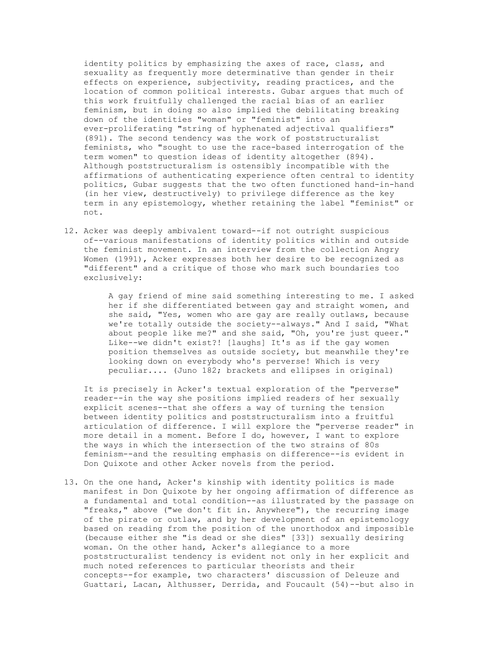identity politics by emphasizing the axes of race, class, and sexuality as frequently more determinative than gender in their effects on experience, subjectivity, reading practices, and the location of common political interests. Gubar argues that much of this work fruitfully challenged the racial bias of an earlier feminism, but in doing so also implied the debilitating breaking down of the identities "woman" or "feminist" into an ever-proliferating "string of hyphenated adjectival qualifiers" (891). The second tendency was the work of poststructuralist feminists, who "sought to use the race-based interrogation of the term women" to question ideas of identity altogether (894). Although poststructuralism is ostensibly incompatible with the affirmations of authenticating experience often central to identity politics, Gubar suggests that the two often functioned hand-in-hand (in her view, destructively) to privilege difference as the key term in any epistemology, whether retaining the label "feminist" or not.

12. Acker was deeply ambivalent toward--if not outright suspicious of--various manifestations of identity politics within and outside the feminist movement. In an interview from the collection Angry Women (1991), Acker expresses both her desire to be recognized as "different" and a critique of those who mark such boundaries too exclusively:

> A gay friend of mine said something interesting to me. I asked her if she differentiated between gay and straight women, and she said, "Yes, women who are gay are really outlaws, because we're totally outside the society--always." And I said, "What about people like me?" and she said, "Oh, you're just queer." Like--we didn't exist?! [laughs] It's as if the gay women position themselves as outside society, but meanwhile they're looking down on everybody who's perverse! Which is very peculiar.... (Juno 182; brackets and ellipses in original)

 It is precisely in Acker's textual exploration of the "perverse" reader--in the way she positions implied readers of her sexually explicit scenes--that she offers a way of turning the tension between identity politics and poststructuralism into a fruitful articulation of difference. I will explore the "perverse reader" in more detail in a moment. Before I do, however, I want to explore the ways in which the intersection of the two strains of 80s feminism--and the resulting emphasis on difference--is evident in Don Quixote and other Acker novels from the period.

13. On the one hand, Acker's kinship with identity politics is made manifest in Don Quixote by her ongoing affirmation of difference as a fundamental and total condition--as illustrated by the passage on "freaks," above ("we don't fit in. Anywhere"), the recurring image of the pirate or outlaw, and by her development of an epistemology based on reading from the position of the unorthodox and impossible (because either she "is dead or she dies" [33]) sexually desiring woman. On the other hand, Acker's allegiance to a more poststructuralist tendency is evident not only in her explicit and much noted references to particular theorists and their concepts--for example, two characters' discussion of Deleuze and Guattari, Lacan, Althusser, Derrida, and Foucault (54)--but also in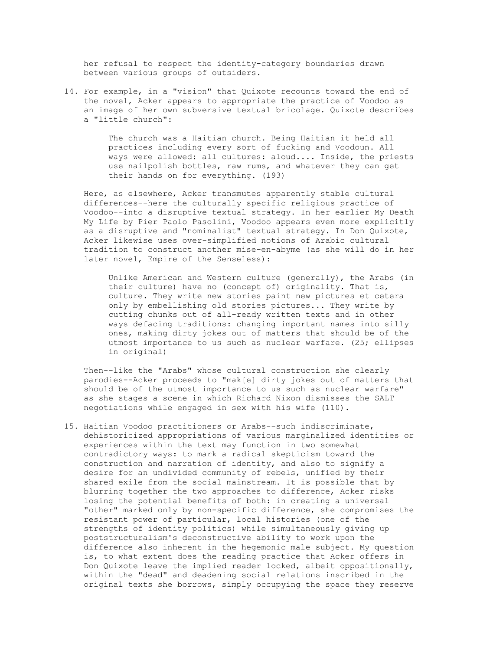her refusal to respect the identity-category boundaries drawn between various groups of outsiders.

14. For example, in a "vision" that Quixote recounts toward the end of the novel, Acker appears to appropriate the practice of Voodoo as an image of her own subversive textual bricolage. Quixote describes a "little church":

> The church was a Haitian church. Being Haitian it held all practices including every sort of fucking and Voodoun. All ways were allowed: all cultures: aloud.... Inside, the priests use nailpolish bottles, raw rums, and whatever they can get their hands on for everything. (193)

 Here, as elsewhere, Acker transmutes apparently stable cultural differences--here the culturally specific religious practice of Voodoo--into a disruptive textual strategy. In her earlier My Death My Life by Pier Paolo Pasolini, Voodoo appears even more explicitly as a disruptive and "nominalist" textual strategy. In Don Quixote, Acker likewise uses over-simplified notions of Arabic cultural tradition to construct another mise-en-abyme (as she will do in her later novel, Empire of the Senseless):

 Unlike American and Western culture (generally), the Arabs (in their culture) have no (concept of) originality. That is, culture. They write new stories paint new pictures et cetera only by embellishing old stories pictures... They write by cutting chunks out of all-ready written texts and in other ways defacing traditions: changing important names into silly ones, making dirty jokes out of matters that should be of the utmost importance to us such as nuclear warfare. (25; ellipses in original)

 Then--like the "Arabs" whose cultural construction she clearly parodies--Acker proceeds to "mak[e] dirty jokes out of matters that should be of the utmost importance to us such as nuclear warfare" as she stages a scene in which Richard Nixon dismisses the SALT negotiations while engaged in sex with his wife (110).

15. Haitian Voodoo practitioners or Arabs--such indiscriminate, dehistoricized appropriations of various marginalized identities or experiences within the text may function in two somewhat contradictory ways: to mark a radical skepticism toward the construction and narration of identity, and also to signify a desire for an undivided community of rebels, unified by their shared exile from the social mainstream. It is possible that by blurring together the two approaches to difference, Acker risks losing the potential benefits of both: in creating a universal "other" marked only by non-specific difference, she compromises the resistant power of particular, local histories (one of the strengths of identity politics) while simultaneously giving up poststructuralism's deconstructive ability to work upon the difference also inherent in the hegemonic male subject. My question is, to what extent does the reading practice that Acker offers in Don Quixote leave the implied reader locked, albeit oppositionally, within the "dead" and deadening social relations inscribed in the original texts she borrows, simply occupying the space they reserve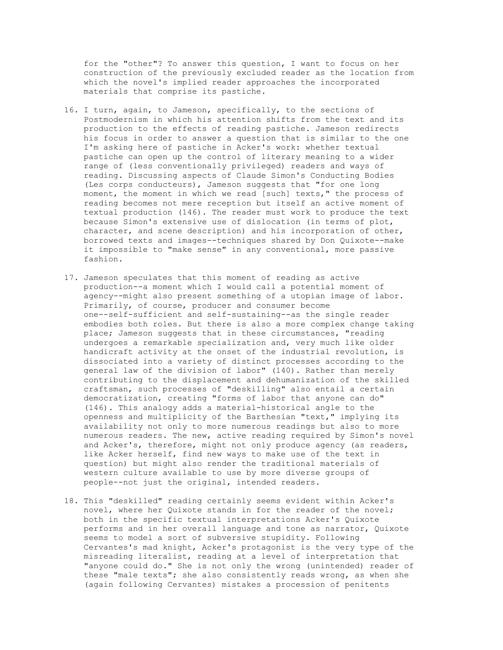for the "other"? To answer this question, I want to focus on her construction of the previously excluded reader as the location from which the novel's implied reader approaches the incorporated materials that comprise its pastiche.

- 16. I turn, again, to Jameson, specifically, to the sections of Postmodernism in which his attention shifts from the text and its production to the effects of reading pastiche. Jameson redirects his focus in order to answer a question that is similar to the one I'm asking here of pastiche in Acker's work: whether textual pastiche can open up the control of literary meaning to a wider range of (less conventionally privileged) readers and ways of reading. Discussing aspects of Claude Simon's Conducting Bodies (Les corps conducteurs), Jameson suggests that "for one long moment, the moment in which we read [such] texts," the process of reading becomes not mere reception but itself an active moment of textual production (146). The reader must work to produce the text because Simon's extensive use of dislocation (in terms of plot, character, and scene description) and his incorporation of other, borrowed texts and images--techniques shared by Don Quixote--make it impossible to "make sense" in any conventional, more passive fashion.
- 17. Jameson speculates that this moment of reading as active production--a moment which I would call a potential moment of agency--might also present something of a utopian image of labor. Primarily, of course, producer and consumer become one--self-sufficient and self-sustaining--as the single reader embodies both roles. But there is also a more complex change taking place; Jameson suggests that in these circumstances, "reading undergoes a remarkable specialization and, very much like older handicraft activity at the onset of the industrial revolution, is dissociated into a variety of distinct processes according to the general law of the division of labor" (140). Rather than merely contributing to the displacement and dehumanization of the skilled craftsman, such processes of "deskilling" also entail a certain democratization, creating "forms of labor that anyone can do" (146). This analogy adds a material-historical angle to the openness and multiplicity of the Barthesian "text," implying its availability not only to more numerous readings but also to more numerous readers. The new, active reading required by Simon's novel and Acker's, therefore, might not only produce agency (as readers, like Acker herself, find new ways to make use of the text in question) but might also render the traditional materials of western culture available to use by more diverse groups of people--not just the original, intended readers.
- 18. This "deskilled" reading certainly seems evident within Acker's novel, where her Quixote stands in for the reader of the novel; both in the specific textual interpretations Acker's Quixote performs and in her overall language and tone as narrator, Quixote seems to model a sort of subversive stupidity. Following Cervantes's mad knight, Acker's protagonist is the very type of the misreading literalist, reading at a level of interpretation that "anyone could do." She is not only the wrong (unintended) reader of these "male texts"; she also consistently reads wrong, as when she (again following Cervantes) mistakes a procession of penitents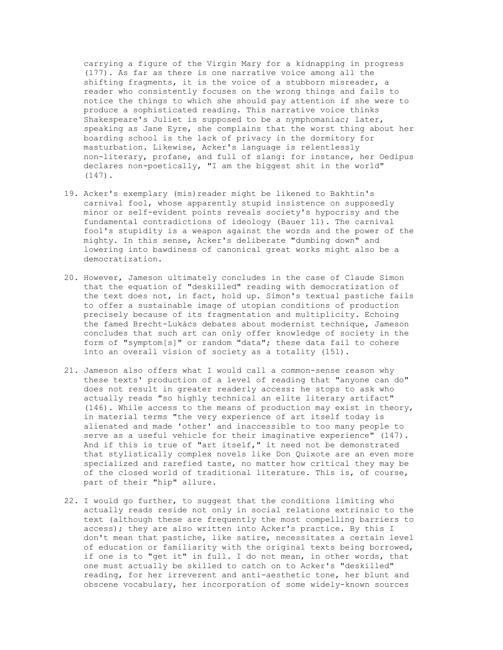carrying a figure of the Virgin Mary for a kidnapping in progress (177). As far as there is one narrative voice among all the shifting fragments, it is the voice of a stubborn misreader, a reader who consistently focuses on the wrong things and fails to notice the things to which she should pay attention if she were to produce a sophisticated reading. This narrative voice thinks Shakespeare's Juliet is supposed to be a nymphomaniac; later, speaking as Jane Eyre, she complains that the worst thing about her boarding school is the lack of privacy in the dormitory for masturbation. Likewise, Acker's language is relentlessly non-literary, profane, and full of slang: for instance, her Oedipus declares non-poetically, "I am the biggest shit in the world" (147).

- 19. Acker's exemplary (mis)reader might be likened to Bakhtin's carnival fool, whose apparently stupid insistence on supposedly minor or self-evident points reveals society's hypocrisy and the fundamental contradictions of ideology (Bauer 11). The carnival fool's stupidity is a weapon against the words and the power of the mighty. In this sense, Acker's deliberate "dumbing down" and lowering into bawdiness of canonical great works might also be a democratization.
- 20. However, Jameson ultimately concludes in the case of Claude Simon that the equation of "deskilled" reading with democratization of the text does not, in fact, hold up. Simon's textual pastiche fails to offer a sustainable image of utopian conditions of production precisely because of its fragmentation and multiplicity. Echoing the famed Brecht-Lukács debates about modernist technique, Jameson concludes that such art can only offer knowledge of society in the form of "symptom[s]" or random "data"; these data fail to cohere into an overall vision of society as a totality (151).
- 21. Jameson also offers what I would call a common-sense reason why these texts' production of a level of reading that "anyone can do" does not result in greater readerly access: he stops to ask who actually reads "so highly technical an elite literary artifact" (146). While access to the means of production may exist in theory, in material terms "the very experience of art itself today is alienated and made 'other' and inaccessible to too many people to serve as a useful vehicle for their imaginative experience" (147). And if this is true of "art itself," it need not be demonstrated that stylistically complex novels like Don Quixote are an even more specialized and rarefied taste, no matter how critical they may be of the closed world of traditional literature. This is, of course, part of their "hip" allure.
- 22. I would go further, to suggest that the conditions limiting who actually reads reside not only in social relations extrinsic to the text (although these are frequently the most compelling barriers to access); they are also written into Acker's practice. By this I don't mean that pastiche, like satire, necessitates a certain level of education or familiarity with the original texts being borrowed, if one is to "get it" in full. I do not mean, in other words, that one must actually be skilled to catch on to Acker's "deskilled" reading, for her irreverent and anti-aesthetic tone, her blunt and obscene vocabulary, her incorporation of some widely-known sources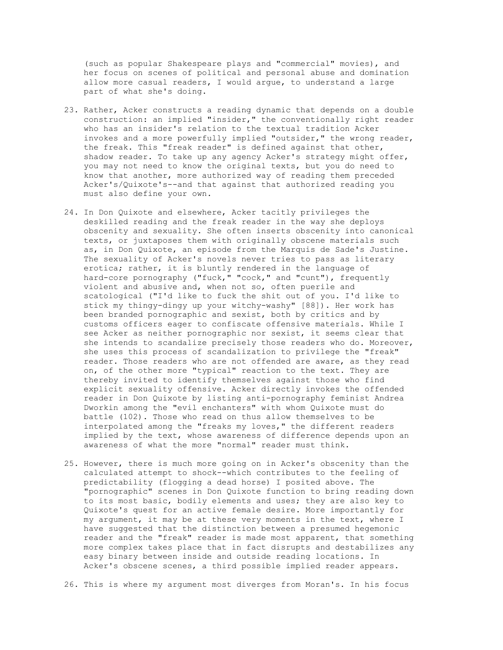(such as popular Shakespeare plays and "commercial" movies), and her focus on scenes of political and personal abuse and domination allow more casual readers, I would argue, to understand a large part of what she's doing.

- 23. Rather, Acker constructs a reading dynamic that depends on a double construction: an implied "insider," the conventionally right reader who has an insider's relation to the textual tradition Acker invokes and a more powerfully implied "outsider," the wrong reader, the freak. This "freak reader" is defined against that other, shadow reader. To take up any agency Acker's strategy might offer, you may not need to know the original texts, but you do need to know that another, more authorized way of reading them preceded Acker's/Quixote's--and that against that authorized reading you must also define your own.
- 24. In Don Quixote and elsewhere, Acker tacitly privileges the deskilled reading and the freak reader in the way she deploys obscenity and sexuality. She often inserts obscenity into canonical texts, or juxtaposes them with originally obscene materials such as, in Don Quixote, an episode from the Marquis de Sade's Justine. The sexuality of Acker's novels never tries to pass as literary erotica; rather, it is bluntly rendered in the language of hard-core pornography ("fuck," "cock," and "cunt"), frequently violent and abusive and, when not so, often puerile and scatological ("I'd like to fuck the shit out of you. I'd like to stick my thingy-dingy up your witchy-washy" [88]). Her work has been branded pornographic and sexist, both by critics and by customs officers eager to confiscate offensive materials. While I see Acker as neither pornographic nor sexist, it seems clear that she intends to scandalize precisely those readers who do. Moreover, she uses this process of scandalization to privilege the "freak" reader. Those readers who are not offended are aware, as they read on, of the other more "typical" reaction to the text. They are thereby invited to identify themselves against those who find explicit sexuality offensive. Acker directly invokes the offended reader in Don Quixote by listing anti-pornography feminist Andrea Dworkin among the "evil enchanters" with whom Quixote must do battle (102). Those who read on thus allow themselves to be interpolated among the "freaks my loves," the different readers implied by the text, whose awareness of difference depends upon an awareness of what the more "normal" reader must think.
- 25. However, there is much more going on in Acker's obscenity than the calculated attempt to shock--which contributes to the feeling of predictability (flogging a dead horse) I posited above. The "pornographic" scenes in Don Quixote function to bring reading down to its most basic, bodily elements and uses; they are also key to Quixote's quest for an active female desire. More importantly for my argument, it may be at these very moments in the text, where I have suggested that the distinction between a presumed hegemonic reader and the "freak" reader is made most apparent, that something more complex takes place that in fact disrupts and destabilizes any easy binary between inside and outside reading locations. In Acker's obscene scenes, a third possible implied reader appears.

26. This is where my argument most diverges from Moran's. In his focus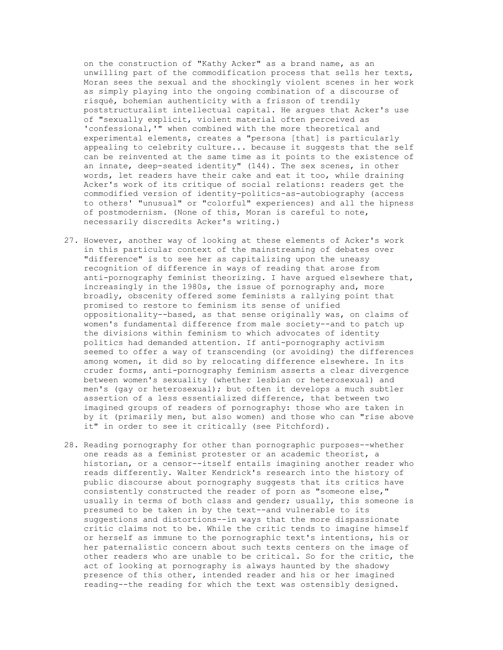on the construction of "Kathy Acker" as a brand name, as an unwilling part of the commodification process that sells her texts, Moran sees the sexual and the shockingly violent scenes in her work as simply playing into the ongoing combination of a discourse of risqué, bohemian authenticity with a frisson of trendily poststructuralist intellectual capital. He argues that Acker's use of "sexually explicit, violent material often perceived as 'confessional,'" when combined with the more theoretical and experimental elements, creates a "persona [that] is particularly appealing to celebrity culture... because it suggests that the self can be reinvented at the same time as it points to the existence of an innate, deep-seated identity" (144). The sex scenes, in other words, let readers have their cake and eat it too, while draining Acker's work of its critique of social relations: readers get the commodified version of identity-politics-as-autobiography (access to others' "unusual" or "colorful" experiences) and all the hipness of postmodernism. (None of this, Moran is careful to note, necessarily discredits Acker's writing.)

- 27. However, another way of looking at these elements of Acker's work in this particular context of the mainstreaming of debates over "difference" is to see her as capitalizing upon the uneasy recognition of difference in ways of reading that arose from anti-pornography feminist theorizing. I have argued elsewhere that, increasingly in the 1980s, the issue of pornography and, more broadly, obscenity offered some feminists a rallying point that promised to restore to feminism its sense of unified oppositionality--based, as that sense originally was, on claims of women's fundamental difference from male society--and to patch up the divisions within feminism to which advocates of identity politics had demanded attention. If anti-pornography activism seemed to offer a way of transcending (or avoiding) the differences among women, it did so by relocating difference elsewhere. In its cruder forms, anti-pornography feminism asserts a clear divergence between women's sexuality (whether lesbian or heterosexual) and men's (gay or heterosexual); but often it develops a much subtler assertion of a less essentialized difference, that between two imagined groups of readers of pornography: those who are taken in by it (primarily men, but also women) and those who can "rise above it" in order to see it critically (see Pitchford).
- 28. Reading pornography for other than pornographic purposes--whether one reads as a feminist protester or an academic theorist, a historian, or a censor--itself entails imagining another reader who reads differently. Walter Kendrick's research into the history of public discourse about pornography suggests that its critics have consistently constructed the reader of porn as "someone else," usually in terms of both class and gender; usually, this someone is presumed to be taken in by the text--and vulnerable to its suggestions and distortions--in ways that the more dispassionate critic claims not to be. While the critic tends to imagine himself or herself as immune to the pornographic text's intentions, his or her paternalistic concern about such texts centers on the image of other readers who are unable to be critical. So for the critic, the act of looking at pornography is always haunted by the shadowy presence of this other, intended reader and his or her imagined reading--the reading for which the text was ostensibly designed.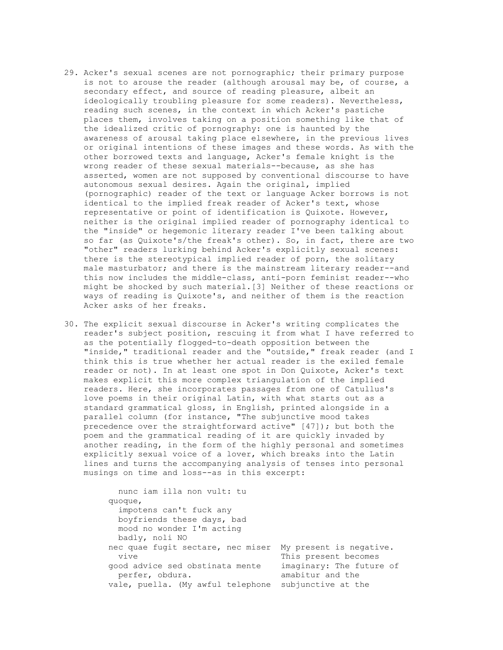- 29. Acker's sexual scenes are not pornographic; their primary purpose is not to arouse the reader (although arousal may be, of course, a secondary effect, and source of reading pleasure, albeit an ideologically troubling pleasure for some readers). Nevertheless, reading such scenes, in the context in which Acker's pastiche places them, involves taking on a position something like that of the idealized critic of pornography: one is haunted by the awareness of arousal taking place elsewhere, in the previous lives or original intentions of these images and these words. As with the other borrowed texts and language, Acker's female knight is the wrong reader of these sexual materials--because, as she has asserted, women are not supposed by conventional discourse to have autonomous sexual desires. Again the original, implied (pornographic) reader of the text or language Acker borrows is not identical to the implied freak reader of Acker's text, whose representative or point of identification is Quixote. However, neither is the original implied reader of pornography identical to the "inside" or hegemonic literary reader I've been talking about so far (as Quixote's/the freak's other). So, in fact, there are two "other" readers lurking behind Acker's explicitly sexual scenes: there is the stereotypical implied reader of porn, the solitary male masturbator; and there is the mainstream literary reader--and this now includes the middle-class, anti-porn feminist reader--who might be shocked by such material.[3] Neither of these reactions or ways of reading is Quixote's, and neither of them is the reaction Acker asks of her freaks.
- 30. The explicit sexual discourse in Acker's writing complicates the reader's subject position, rescuing it from what I have referred to as the potentially flogged-to-death opposition between the "inside," traditional reader and the "outside," freak reader (and I think this is true whether her actual reader is the exiled female reader or not). In at least one spot in Don Quixote, Acker's text makes explicit this more complex triangulation of the implied readers. Here, she incorporates passages from one of Catullus's love poems in their original Latin, with what starts out as a standard grammatical gloss, in English, printed alongside in a parallel column (for instance, "The subjunctive mood takes precedence over the straightforward active" [47]); but both the poem and the grammatical reading of it are quickly invaded by another reading, in the form of the highly personal and sometimes explicitly sexual voice of a lover, which breaks into the Latin lines and turns the accompanying analysis of tenses into personal musings on time and loss--as in this excerpt:

| nunc iam illa non vult: tu        |                          |
|-----------------------------------|--------------------------|
| quoque,                           |                          |
| impotens can't fuck any           |                          |
| boyfriends these days, bad        |                          |
| mood no wonder I'm acting         |                          |
| badly, noli NO                    |                          |
| nec quae fugit sectare, nec miser | My present is negative.  |
| vive                              | This present becomes     |
| good advice sed obstinata mente   | imaginary: The future of |
| perfer, obdura.                   | amabitur and the         |
| vale, puella. (My awful telephone | subjunctive at the       |
|                                   |                          |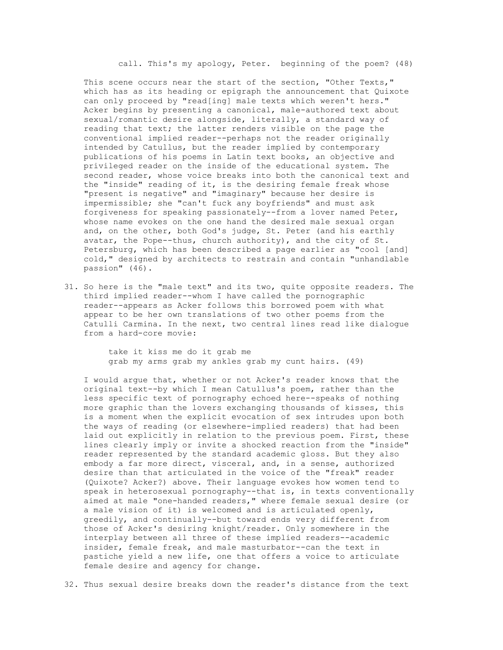call. This's my apology, Peter. beginning of the poem? (48)

This scene occurs near the start of the section, "Other Texts," which has as its heading or epigraph the announcement that Quixote can only proceed by "read[ing] male texts which weren't hers." Acker begins by presenting a canonical, male-authored text about sexual/romantic desire alongside, literally, a standard way of reading that text; the latter renders visible on the page the conventional implied reader--perhaps not the reader originally intended by Catullus, but the reader implied by contemporary publications of his poems in Latin text books, an objective and privileged reader on the inside of the educational system. The second reader, whose voice breaks into both the canonical text and the "inside" reading of it, is the desiring female freak whose "present is negative" and "imaginary" because her desire is impermissible; she "can't fuck any boyfriends" and must ask forgiveness for speaking passionately--from a lover named Peter, whose name evokes on the one hand the desired male sexual organ and, on the other, both God's judge, St. Peter (and his earthly avatar, the Pope--thus, church authority), and the city of St. Petersburg, which has been described a page earlier as "cool [and] cold," designed by architects to restrain and contain "unhandlable passion" (46).

31. So here is the "male text" and its two, quite opposite readers. The third implied reader--whom I have called the pornographic reader--appears as Acker follows this borrowed poem with what appear to be her own translations of two other poems from the Catulli Carmina. In the next, two central lines read like dialogue from a hard-core movie:

> take it kiss me do it grab me grab my arms grab my ankles grab my cunt hairs. (49)

 I would argue that, whether or not Acker's reader knows that the original text--by which I mean Catullus's poem, rather than the less specific text of pornography echoed here--speaks of nothing more graphic than the lovers exchanging thousands of kisses, this is a moment when the explicit evocation of sex intrudes upon both the ways of reading (or elsewhere-implied readers) that had been laid out explicitly in relation to the previous poem. First, these lines clearly imply or invite a shocked reaction from the "inside" reader represented by the standard academic gloss. But they also embody a far more direct, visceral, and, in a sense, authorized desire than that articulated in the voice of the "freak" reader (Quixote? Acker?) above. Their language evokes how women tend to speak in heterosexual pornography--that is, in texts conventionally aimed at male "one-handed readers," where female sexual desire (or a male vision of it) is welcomed and is articulated openly, greedily, and continually--but toward ends very different from those of Acker's desiring knight/reader. Only somewhere in the interplay between all three of these implied readers--academic insider, female freak, and male masturbator--can the text in pastiche yield a new life, one that offers a voice to articulate female desire and agency for change.

32. Thus sexual desire breaks down the reader's distance from the text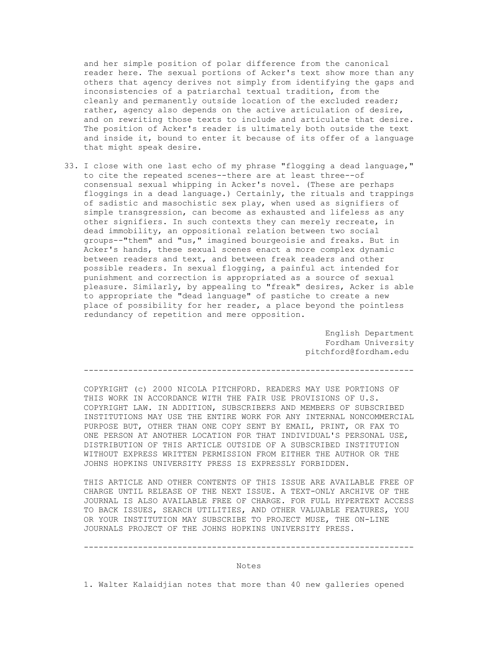and her simple position of polar difference from the canonical reader here. The sexual portions of Acker's text show more than any others that agency derives not simply from identifying the gaps and inconsistencies of a patriarchal textual tradition, from the cleanly and permanently outside location of the excluded reader; rather, agency also depends on the active articulation of desire, and on rewriting those texts to include and articulate that desire. The position of Acker's reader is ultimately both outside the text and inside it, bound to enter it because of its offer of a language that might speak desire.

33. I close with one last echo of my phrase "flogging a dead language," to cite the repeated scenes--there are at least three--of consensual sexual whipping in Acker's novel. (These are perhaps floggings in a dead language.) Certainly, the rituals and trappings of sadistic and masochistic sex play, when used as signifiers of simple transgression, can become as exhausted and lifeless as any other signifiers. In such contexts they can merely recreate, in dead immobility, an oppositional relation between two social groups--"them" and "us," imagined bourgeoisie and freaks. But in Acker's hands, these sexual scenes enact a more complex dynamic between readers and text, and between freak readers and other possible readers. In sexual flogging, a painful act intended for punishment and correction is appropriated as a source of sexual pleasure. Similarly, by appealing to "freak" desires, Acker is able to appropriate the "dead language" of pastiche to create a new place of possibility for her reader, a place beyond the pointless redundancy of repetition and mere opposition.

> English Department Fordham University pitchford@fordham.edu

-------------------------------------------------------------------

 COPYRIGHT (c) 2000 NICOLA PITCHFORD. READERS MAY USE PORTIONS OF THIS WORK IN ACCORDANCE WITH THE FAIR USE PROVISIONS OF U.S. COPYRIGHT LAW. IN ADDITION, SUBSCRIBERS AND MEMBERS OF SUBSCRIBED INSTITUTIONS MAY USE THE ENTIRE WORK FOR ANY INTERNAL NONCOMMERCIAL PURPOSE BUT, OTHER THAN ONE COPY SENT BY EMAIL, PRINT, OR FAX TO ONE PERSON AT ANOTHER LOCATION FOR THAT INDIVIDUAL'S PERSONAL USE, DISTRIBUTION OF THIS ARTICLE OUTSIDE OF A SUBSCRIBED INSTITUTION WITHOUT EXPRESS WRITTEN PERMISSION FROM EITHER THE AUTHOR OR THE JOHNS HOPKINS UNIVERSITY PRESS IS EXPRESSLY FORBIDDEN.

 THIS ARTICLE AND OTHER CONTENTS OF THIS ISSUE ARE AVAILABLE FREE OF CHARGE UNTIL RELEASE OF THE NEXT ISSUE. A TEXT-ONLY ARCHIVE OF THE JOURNAL IS ALSO AVAILABLE FREE OF CHARGE. FOR FULL HYPERTEXT ACCESS TO BACK ISSUES, SEARCH UTILITIES, AND OTHER VALUABLE FEATURES, YOU OR YOUR INSTITUTION MAY SUBSCRIBE TO PROJECT MUSE, THE ON-LINE JOURNALS PROJECT OF THE JOHNS HOPKINS UNIVERSITY PRESS.

#### -------------------------------------------------------------------

### Notes

1. Walter Kalaidjian notes that more than 40 new galleries opened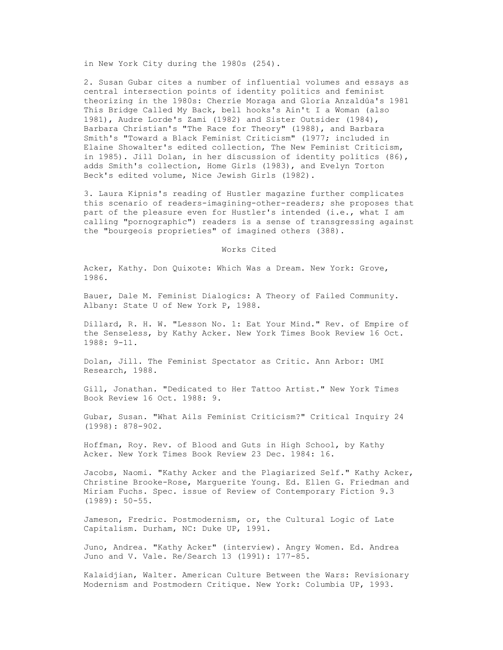in New York City during the 1980s (254).

 2. Susan Gubar cites a number of influential volumes and essays as central intersection points of identity politics and feminist theorizing in the 1980s: Cherríe Moraga and Gloria Anzaldúa's 1981 This Bridge Called My Back, bell hooks's Ain't I a Woman (also 1981), Audre Lorde's Zami (1982) and Sister Outsider (1984), Barbara Christian's "The Race for Theory" (1988), and Barbara Smith's "Toward a Black Feminist Criticism" (1977; included in Elaine Showalter's edited collection, The New Feminist Criticism, in 1985). Jill Dolan, in her discussion of identity politics (86), adds Smith's collection, Home Girls (1983), and Evelyn Torton Beck's edited volume, Nice Jewish Girls (1982).

 3. Laura Kipnis's reading of Hustler magazine further complicates this scenario of readers-imagining-other-readers; she proposes that part of the pleasure even for Hustler's intended (i.e., what I am calling "pornographic") readers is a sense of transgressing against the "bourgeois proprieties" of imagined others (388).

Works Cited

 Acker, Kathy. Don Quixote: Which Was a Dream. New York: Grove, 1986.

 Bauer, Dale M. Feminist Dialogics: A Theory of Failed Community. Albany: State U of New York P, 1988.

 Dillard, R. H. W. "Lesson No. 1: Eat Your Mind." Rev. of Empire of the Senseless, by Kathy Acker. New York Times Book Review 16 Oct. 1988: 9-11.

 Dolan, Jill. The Feminist Spectator as Critic. Ann Arbor: UMI Research, 1988.

 Gill, Jonathan. "Dedicated to Her Tattoo Artist." New York Times Book Review 16 Oct. 1988: 9.

 Gubar, Susan. "What Ails Feminist Criticism?" Critical Inquiry 24 (1998): 878-902.

 Hoffman, Roy. Rev. of Blood and Guts in High School, by Kathy Acker. New York Times Book Review 23 Dec. 1984: 16.

 Jacobs, Naomi. "Kathy Acker and the Plagiarized Self." Kathy Acker, Christine Brooke-Rose, Marguerite Young. Ed. Ellen G. Friedman and Miriam Fuchs. Spec. issue of Review of Contemporary Fiction 9.3 (1989): 50-55.

 Jameson, Fredric. Postmodernism, or, the Cultural Logic of Late Capitalism. Durham, NC: Duke UP, 1991.

 Juno, Andrea. "Kathy Acker" (interview). Angry Women. Ed. Andrea Juno and V. Vale. Re/Search 13 (1991): 177-85.

 Kalaidjian, Walter. American Culture Between the Wars: Revisionary Modernism and Postmodern Critique. New York: Columbia UP, 1993.